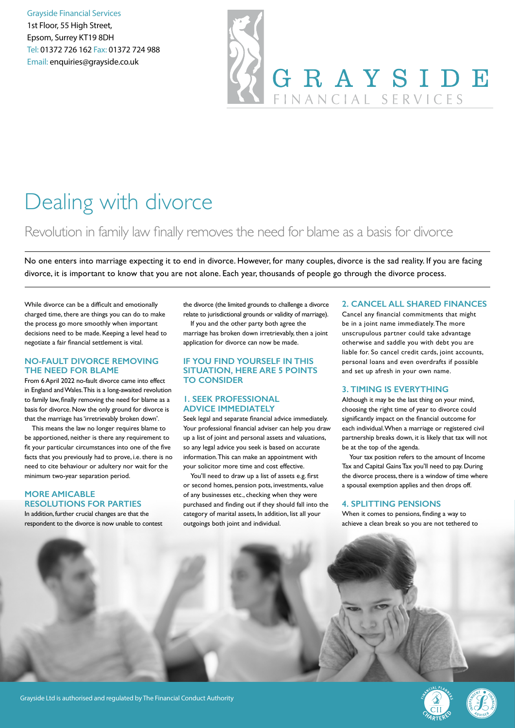Grayside Financial Services 1st Floor, 55 High Street, Epsom, Surrey KT19 8DH Tel: 01372 726 162 Fax: 01372 724 988 Email: enquiries@grayside.co.uk

# GRAYSIDE FINANCIAL SERVICES

### Dealing with divorce

#### Revolution in family law finally removes the need for blame as a basis for divorce

No one enters into marriage expecting it to end in divorce. However, for many couples, divorce is the sad reality. If you are facing divorce, it is important to know that you are not alone. Each year, thousands of people go through the divorce process.

While divorce can be a difficult and emotionally charged time, there are things you can do to make the process go more smoothly when important decisions need to be made. Keeping a level head to negotiate a fair financial settlement is vital.

#### **NO-FAULT DIVORCE REMOVING THE NEED FOR BLAME**

From 6 April 2022 no-fault divorce came into effect in England and Wales. This is a long-awaited revolution to family law, finally removing the need for blame as a basis for divorce. Now the only ground for divorce is that the marriage has 'irretrievably broken down'.

This means the law no longer requires blame to be apportioned, neither is there any requirement to fit your particular circumstances into one of the five facts that you previously had to prove, i.e. there is no need to cite behaviour or adultery nor wait for the minimum two-year separation period.

#### **MORE AMICABLE RESOLUTIONS FOR PARTIES**

In addition, further crucial changes are that the respondent to the divorce is now unable to contest the divorce (the limited grounds to challenge a divorce relate to jurisdictional grounds or validity of marriage).

If you and the other party both agree the marriage has broken down irretrievably, then a joint application for divorce can now be made.

#### **IF YOU FIND YOURSELF IN THIS SITUATION, HERE ARE 5 POINTS TO CONSIDER**

#### **1. SEEK PROFESSIONAL ADVICE IMMEDIATELY**

Seek legal and separate financial advice immediately. Your professional financial adviser can help you draw up a list of joint and personal assets and valuations, so any legal advice you seek is based on accurate information. This can make an appointment with your solicitor more time and cost effective.

You'll need to draw up a list of assets e.g. first or second homes, pension pots, investments, value of any businesses etc., checking when they were purchased and finding out if they should fall into the category of marital assets, In addition, list all your outgoings both joint and individual.

#### **2. CANCEL ALL SHARED FINANCES**

Cancel any financial commitments that might be in a joint name immediately. The more unscrupulous partner could take advantage otherwise and saddle you with debt you are liable for. So cancel credit cards, joint accounts, personal loans and even overdrafts if possible and set up afresh in your own name.

#### **3. TIMING IS EVERYTHING**

Although it may be the last thing on your mind, choosing the right time of year to divorce could significantly impact on the financial outcome for each individual. When a marriage or registered civil partnership breaks down, it is likely that tax will not be at the top of the agenda.

Your tax position refers to the amount of Income Tax and Capital Gains Tax you'll need to pay. During the divorce process, there is a window of time where a spousal exemption applies and then drops off.

#### **4. SPLITTING PENSIONS**

When it comes to pensions, finding a way to achieve a clean break so you are not tethered to